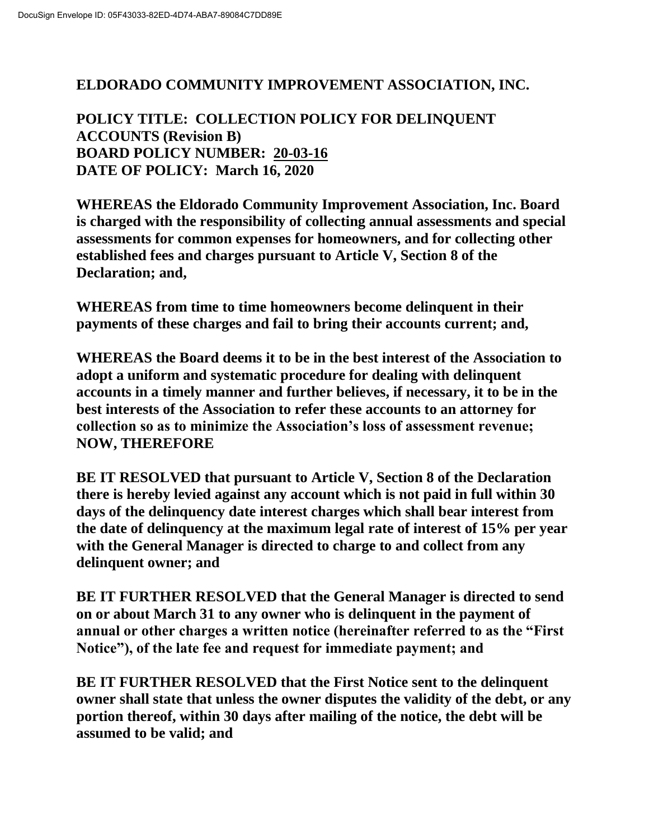## **ELDORADO COMMUNITY IMPROVEMENT ASSOCIATION, INC.**

**POLICY TITLE: COLLECTION POLICY FOR DELINQUENT ACCOUNTS (Revision B) BOARD POLICY NUMBER: 20-03-16 DATE OF POLICY: March 16, 2020**

**WHEREAS the Eldorado Community Improvement Association, Inc. Board is charged with the responsibility of collecting annual assessments and special assessments for common expenses for homeowners, and for collecting other established fees and charges pursuant to Article V, Section 8 of the Declaration; and,**

**WHEREAS from time to time homeowners become delinquent in their payments of these charges and fail to bring their accounts current; and,**

**WHEREAS the Board deems it to be in the best interest of the Association to adopt a uniform and systematic procedure for dealing with delinquent accounts in a timely manner and further believes, if necessary, it to be in the best interests of the Association to refer these accounts to an attorney for collection so as to minimize the Association's loss of assessment revenue; NOW, THEREFORE**

**BE IT RESOLVED that pursuant to Article V, Section 8 of the Declaration there is hereby levied against any account which is not paid in full within 30 days of the delinquency date interest charges which shall bear interest from the date of delinquency at the maximum legal rate of interest of 15% per year with the General Manager is directed to charge to and collect from any delinquent owner; and**

**BE IT FURTHER RESOLVED that the General Manager is directed to send on or about March 31 to any owner who is delinquent in the payment of annual or other charges a written notice (hereinafter referred to as the "First Notice"), of the late fee and request for immediate payment; and**

**BE IT FURTHER RESOLVED that the First Notice sent to the delinquent owner shall state that unless the owner disputes the validity of the debt, or any portion thereof, within 30 days after mailing of the notice, the debt will be assumed to be valid; and**